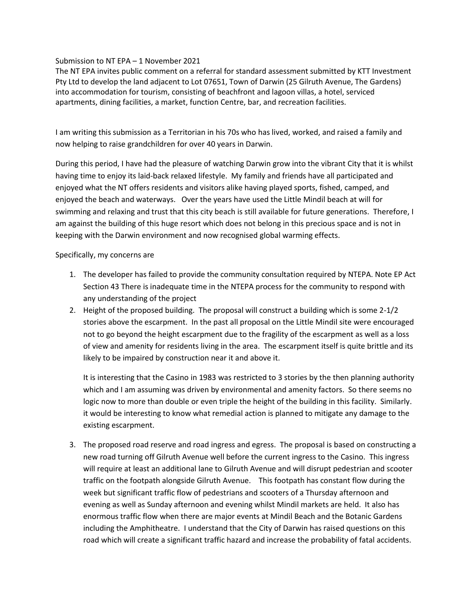Submission to NT EPA – 1 November 2021

The NT EPA invites public comment on a referral for standard assessment submitted by KTT Investment Pty Ltd to develop the land adjacent to Lot 07651, Town of Darwin (25 Gilruth Avenue, The Gardens) into accommodation for tourism, consisting of beachfront and lagoon villas, a hotel, serviced apartments, dining facilities, a market, function Centre, bar, and recreation facilities.

I am writing this submission as a Territorian in his 70s who has lived, worked, and raised a family and now helping to raise grandchildren for over 40 years in Darwin.

During this period, I have had the pleasure of watching Darwin grow into the vibrant City that it is whilst having time to enjoy its laid-back relaxed lifestyle. My family and friends have all participated and enjoyed what the NT offers residents and visitors alike having played sports, fished, camped, and enjoyed the beach and waterways. Over the years have used the Little Mindil beach at will for swimming and relaxing and trust that this city beach is still available for future generations. Therefore, I am against the building of this huge resort which does not belong in this precious space and is not in keeping with the Darwin environment and now recognised global warming effects.

Specifically, my concerns are

- 1. The developer has failed to provide the community consultation required by NTEPA. Note EP Act Section 43 There is inadequate time in the NTEPA process for the community to respond with any understanding of the project
- 2. Height of the proposed building. The proposal will construct a building which is some 2-1/2 stories above the escarpment. In the past all proposal on the Little Mindil site were encouraged not to go beyond the height escarpment due to the fragility of the escarpment as well as a loss of view and amenity for residents living in the area. The escarpment itself is quite brittle and its likely to be impaired by construction near it and above it.

It is interesting that the Casino in 1983 was restricted to 3 stories by the then planning authority which and I am assuming was driven by environmental and amenity factors. So there seems no logic now to more than double or even triple the height of the building in this facility. Similarly. it would be interesting to know what remedial action is planned to mitigate any damage to the existing escarpment.

3. The proposed road reserve and road ingress and egress. The proposal is based on constructing a new road turning off Gilruth Avenue well before the current ingress to the Casino. This ingress will require at least an additional lane to Gilruth Avenue and will disrupt pedestrian and scooter traffic on the footpath alongside Gilruth Avenue. This footpath has constant flow during the week but significant traffic flow of pedestrians and scooters of a Thursday afternoon and evening as well as Sunday afternoon and evening whilst Mindil markets are held. It also has enormous traffic flow when there are major events at Mindil Beach and the Botanic Gardens including the Amphitheatre. I understand that the City of Darwin has raised questions on this road which will create a significant traffic hazard and increase the probability of fatal accidents.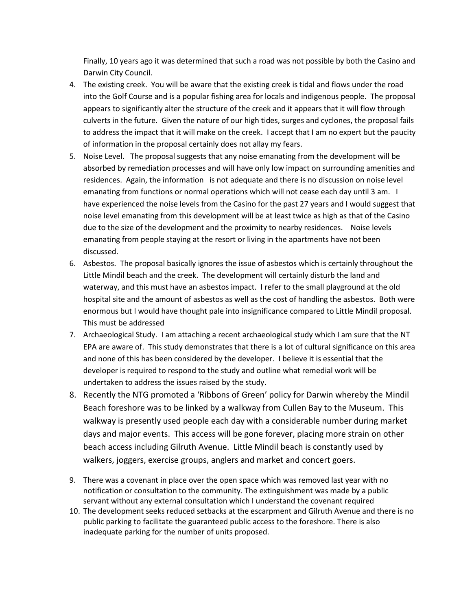Finally, 10 years ago it was determined that such a road was not possible by both the Casino and Darwin City Council.

- 4. The existing creek. You will be aware that the existing creek is tidal and flows under the road into the Golf Course and is a popular fishing area for locals and indigenous people. The proposal appears to significantly alter the structure of the creek and it appears that it will flow through culverts in the future. Given the nature of our high tides, surges and cyclones, the proposal fails to address the impact that it will make on the creek. I accept that I am no expert but the paucity of information in the proposal certainly does not allay my fears.
- 5. Noise Level. The proposal suggests that any noise emanating from the development will be absorbed by remediation processes and will have only low impact on surrounding amenities and residences. Again, the information is not adequate and there is no discussion on noise level emanating from functions or normal operations which will not cease each day until 3 am. I have experienced the noise levels from the Casino for the past 27 years and I would suggest that noise level emanating from this development will be at least twice as high as that of the Casino due to the size of the development and the proximity to nearby residences. Noise levels emanating from people staying at the resort or living in the apartments have not been discussed.
- 6. Asbestos. The proposal basically ignores the issue of asbestos which is certainly throughout the Little Mindil beach and the creek. The development will certainly disturb the land and waterway, and this must have an asbestos impact. I refer to the small playground at the old hospital site and the amount of asbestos as well as the cost of handling the asbestos. Both were enormous but I would have thought pale into insignificance compared to Little Mindil proposal. This must be addressed
- 7. Archaeological Study. I am attaching a recent archaeological study which I am sure that the NT EPA are aware of. This study demonstrates that there is a lot of cultural significance on this area and none of this has been considered by the developer. I believe it is essential that the developer is required to respond to the study and outline what remedial work will be undertaken to address the issues raised by the study.
- 8. Recently the NTG promoted a 'Ribbons of Green' policy for Darwin whereby the Mindil Beach foreshore was to be linked by a walkway from Cullen Bay to the Museum. This walkway is presently used people each day with a considerable number during market days and major events. This access will be gone forever, placing more strain on other beach access including Gilruth Avenue. Little Mindil beach is constantly used by walkers, joggers, exercise groups, anglers and market and concert goers.
- 9. There was a covenant in place over the open space which was removed last year with no notification or consultation to the community. The extinguishment was made by a public servant without any external consultation which I understand the covenant required
- 10. The development seeks reduced setbacks at the escarpment and Gilruth Avenue and there is no public parking to facilitate the guaranteed public access to the foreshore. There is also inadequate parking for the number of units proposed.